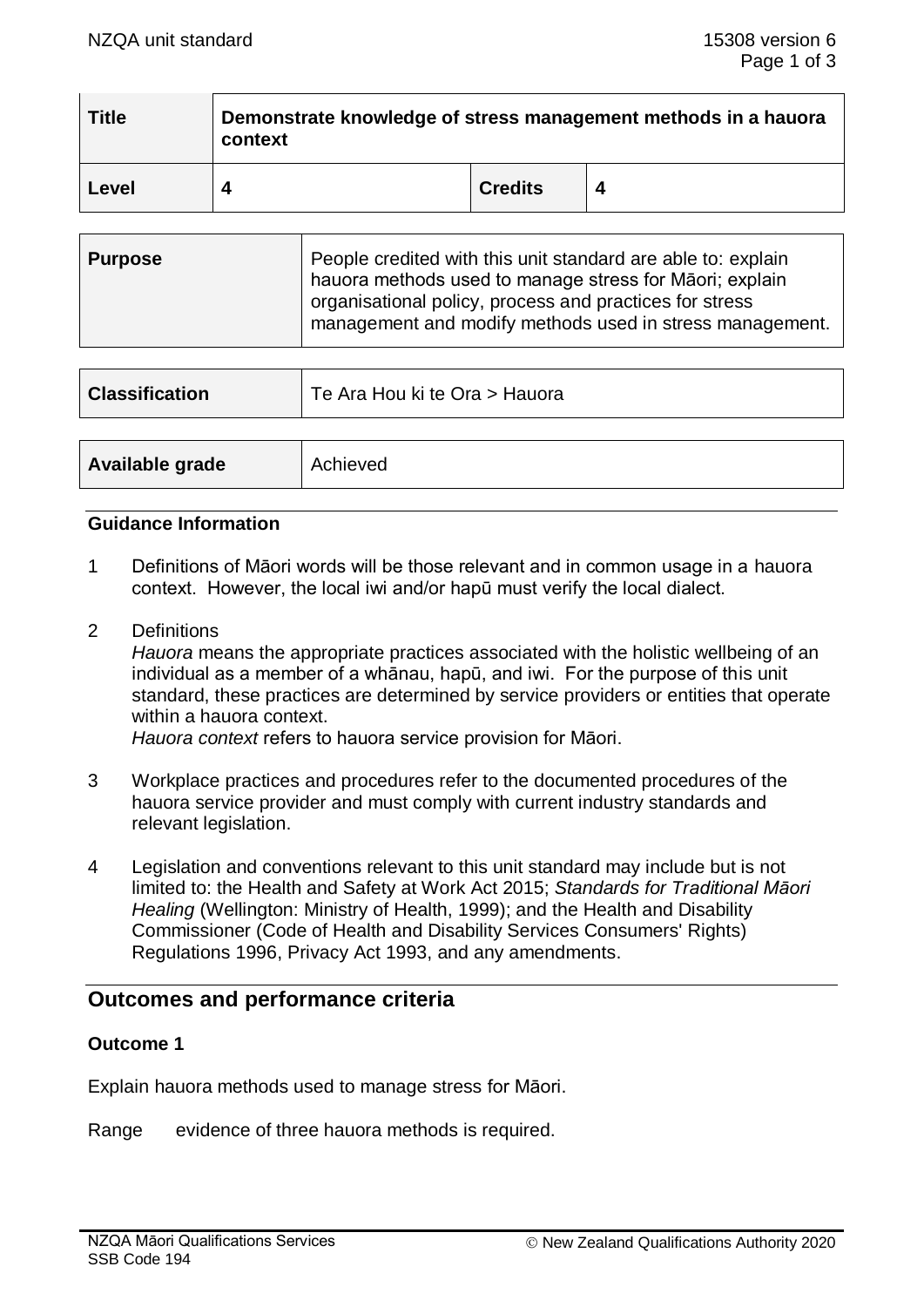| <b>Title</b> | Demonstrate knowledge of stress management methods in a hauora<br>context |                |  |  |
|--------------|---------------------------------------------------------------------------|----------------|--|--|
| Level        |                                                                           | <b>Credits</b> |  |  |

| <b>Purpose</b> | People credited with this unit standard are able to: explain<br>hauora methods used to manage stress for Māori; explain |  |
|----------------|-------------------------------------------------------------------------------------------------------------------------|--|
|                | organisational policy, process and practices for stress<br>management and modify methods used in stress management.     |  |

| <b>Classification</b> | Te Ara Hou ki te Ora > Hauora |  |
|-----------------------|-------------------------------|--|
|                       |                               |  |
| Available grade       | Achieved                      |  |

### **Guidance Information**

- 1 Definitions of Māori words will be those relevant and in common usage in a hauora context. However, the local iwi and/or hapū must verify the local dialect.
- 2 Definitions

*Hauora* means the appropriate practices associated with the holistic wellbeing of an individual as a member of a whānau, hapū, and iwi. For the purpose of this unit standard, these practices are determined by service providers or entities that operate within a hauora context.

*Hauora context* refers to hauora service provision for Māori.

- 3 Workplace practices and procedures refer to the documented procedures of the hauora service provider and must comply with current industry standards and relevant legislation.
- 4 Legislation and conventions relevant to this unit standard may include but is not limited to: the Health and Safety at Work Act 2015; *Standards for Traditional Māori Healing* (Wellington: Ministry of Health, 1999); and the Health and Disability Commissioner (Code of Health and Disability Services Consumers' Rights) Regulations 1996, Privacy Act 1993, and any amendments.

# **Outcomes and performance criteria**

#### **Outcome 1**

Explain hauora methods used to manage stress for Māori.

Range evidence of three hauora methods is required.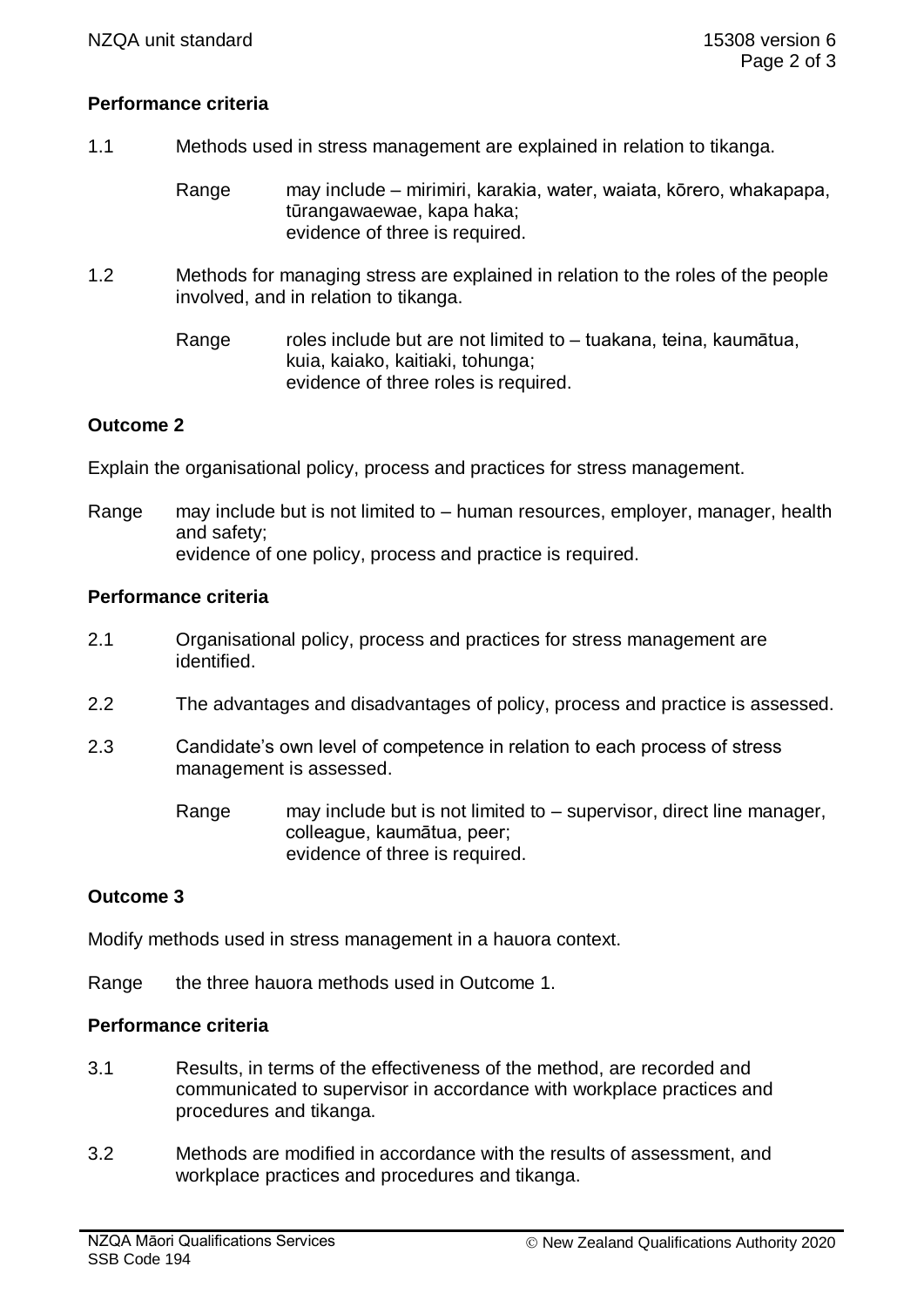### **Performance criteria**

- 1.1 Methods used in stress management are explained in relation to tikanga.
	- Range may include mirimiri, karakia, water, waiata, kōrero, whakapapa, tūrangawaewae, kapa haka; evidence of three is required.
- 1.2 Methods for managing stress are explained in relation to the roles of the people involved, and in relation to tikanga.
	- Range roles include but are not limited to tuakana, teina, kaumātua, kuia, kaiako, kaitiaki, tohunga; evidence of three roles is required.

## **Outcome 2**

Explain the organisational policy, process and practices for stress management.

Range may include but is not limited to – human resources, employer, manager, health and safety; evidence of one policy, process and practice is required.

### **Performance criteria**

- 2.1 Organisational policy, process and practices for stress management are identified.
- 2.2 The advantages and disadvantages of policy, process and practice is assessed.
- 2.3 Candidate's own level of competence in relation to each process of stress management is assessed.
	- Range may include but is not limited to supervisor, direct line manager, colleague, kaumātua, peer; evidence of three is required.

# **Outcome 3**

Modify methods used in stress management in a hauora context.

Range the three hauora methods used in Outcome 1.

### **Performance criteria**

- 3.1 Results, in terms of the effectiveness of the method, are recorded and communicated to supervisor in accordance with workplace practices and procedures and tikanga.
- 3.2 Methods are modified in accordance with the results of assessment, and workplace practices and procedures and tikanga.